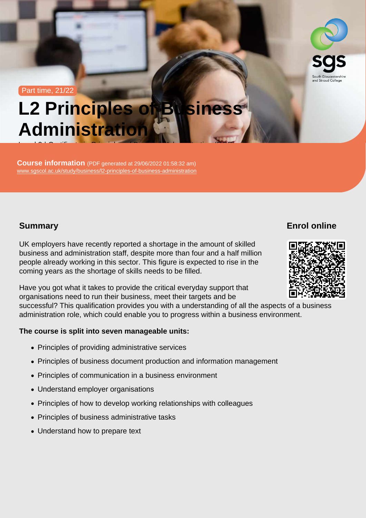#### Part time, 21/22

# L2 Principles of Business **Administration**

Level 2 | Certificate in Principles of Business Administration (RQF)

Course information (PDF generated at 29/06/2022 01:58:32 am) [www.sgscol.ac.uk/study/business/l2-principles-of-business-administration](https://www.sgscol.ac.uk/study/business/l2-principles-of-business-administration)

## Summary

Enrol online

UK employers have recently reported a shortage in the amount of skilled business and administration staff, despite more than four and a half million people already working in this sector. This figure is expected to rise in the coming years as the shortage of skills needs to be filled.

Have you got what it takes to provide the critical everyday support that organisations need to run their business, meet their targets and be successful? This qualification provides you with a understanding of all the aspects of a business administration role, which could enable you to progress within a business environment.

The course is split into seven manageable units:

- Principles of providing administrative services
- Principles of business document production and information management
- Principles of communication in a business environment
- Understand employer organisations
- Principles of how to develop working relationships with colleagues
- Principles of business administrative tasks
- Understand how to prepare text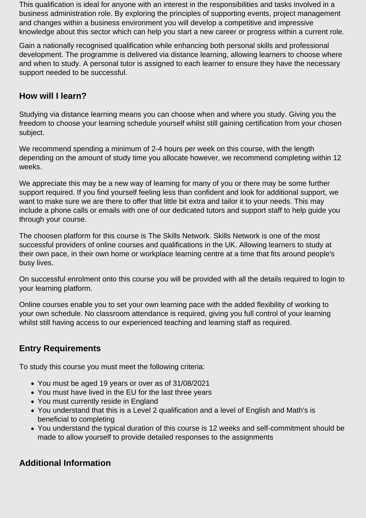This qualification is ideal for anyone with an interest in the responsibilities and tasks involved in a business administration role. By exploring the principles of supporting events, project management and changes within a business environment you will develop a competitive and impressive knowledge about this sector which can help you start a new career or progress within a current role.

Gain a nationally recognised qualification while enhancing both personal skills and professional development. The programme is delivered via distance learning, allowing learners to choose where and when to study. A personal tutor is assigned to each learner to ensure they have the necessary support needed to be successful.

## **How will I learn?**

Studying via distance learning means you can choose when and where you study. Giving you the freedom to choose your learning schedule yourself whilst still gaining certification from your chosen subject.

We recommend spending a minimum of 2-4 hours per week on this course, with the length depending on the amount of study time you allocate however, we recommend completing within 12 weeks.

We appreciate this may be a new way of learning for many of you or there may be some further support required. If you find yourself feeling less than confident and look for additional support, we want to make sure we are there to offer that little bit extra and tailor it to your needs. This may include a phone calls or emails with one of our dedicated tutors and support staff to help guide you through your course.

The choosen platform for this course is The Skills Network. Skills Network is one of the most successful providers of online courses and qualifications in the UK. Allowing learners to study at their own pace, in their own home or workplace learning centre at a time that fits around people's busy lives.

On successful enrolment onto this course you will be provided with all the details required to login to your learning platform.

Online courses enable you to set your own learning pace with the added flexibility of working to your own schedule. No classroom attendance is required, giving you full control of your learning whilst still having access to our experienced teaching and learning staff as required.

## **Entry Requirements**

To study this course you must meet the following criteria:

- You must be aged 19 years or over as of 31/08/2021
- You must have lived in the EU for the last three years
- You must currently reside in England
- You understand that this is a Level 2 qualification and a level of English and Math's is beneficial to completing
- You understand the typical duration of this course is 12 weeks and self-commitment should be made to allow yourself to provide detailed responses to the assignments

## **Additional Information**